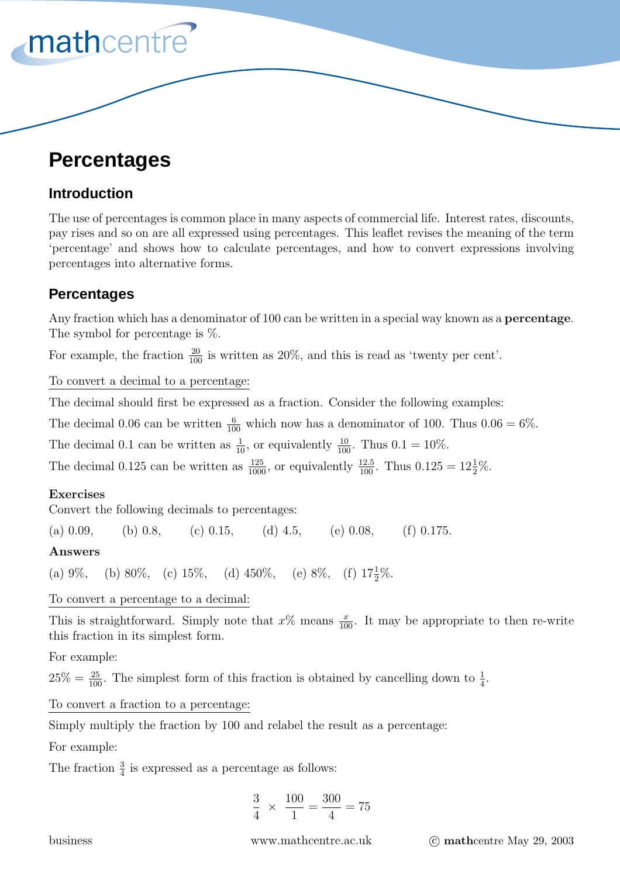# **Percentages**

mathcentre<sup>®</sup>

# **Introduction**

The use of percentages is common place in many aspects of commercial life. Interest rates, discounts, pay rises and so on are all expressed using percentages. This leaflet revises the meaning of the term 'percentage' and shows how to calculate percentages, and how to convert expressions involving percentages into alternative forms.

# **Percentages**

Any fraction which has a denominator of 100 can be written in a special way known as a **percentage**. The symbol for percentage is %.

For example, the fraction  $\frac{20}{100}$  is written as 20%, and this is read as 'twenty per cent'.

To convert a decimal to a percentage:

The decimal should first be expressed as a fraction. Consider the following examples:

The decimal 0.06 can be written  $\frac{6}{100}$  which now has a denominator of 100. Thus  $0.06 = 6\%$ .

The decimal 0.1 can be written as  $\frac{1}{10}$ , or equivalently  $\frac{10}{100}$ . Thus 0.1 = 10%.

The decimal 0.125 can be written as  $\frac{125}{1000}$ , or equivalently  $\frac{12.5}{100}$ . Thus  $0.125 = 12\frac{1}{2}\%$ .

## **Exercises**

Convert the following decimals to percentages:

(a) 0.09, (b) 0.8, (c) 0.15, (d) 4.5, (e) 0.08, (f) 0.175.

## **Answers**

(a) 9%, (b) 80%, (c) 15%, (d) 450%, (e) 8%, (f)  $17\frac{1}{2}\%$ .

To convert a percentage to a decimal:

This is straightforward. Simply note that  $x\%$  means  $\frac{x}{100}$ . It may be appropriate to then re-write this fraction in its simplest form.

For example:

 $25\% = \frac{25}{100}$ . The simplest form of this fraction is obtained by cancelling down to  $\frac{1}{4}$ .

To convert a fraction to a percentage:

Simply multiply the fraction by 100 and relabel the result as a percentage:

For example:

The fraction  $\frac{3}{4}$  is expressed as a percentage as follows:

$$
\frac{3}{4} \times \frac{100}{1} = \frac{300}{4} = 75
$$

business www.mathcentre.ac.uk